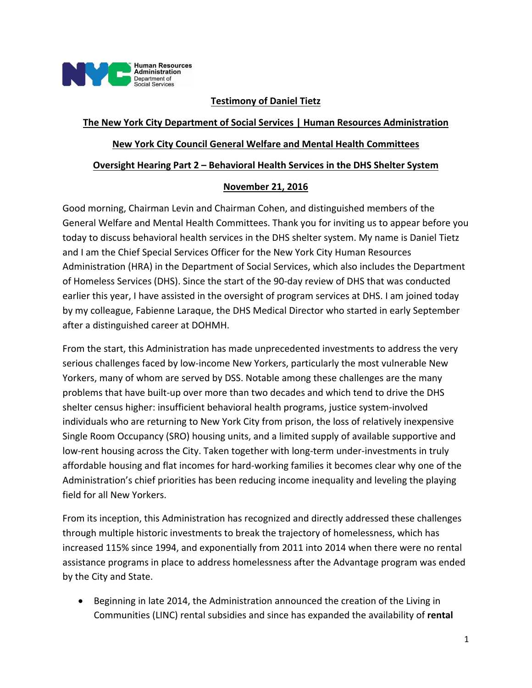

### **Testimony of Daniel Tietz**

### **The New York City Department of Social Services | Human Resources Administration**

#### **New York City Council General Welfare and Mental Health Committees**

#### **Oversight Hearing Part 2 – Behavioral Health Services in the DHS Shelter System**

#### **November 21, 2016**

Good morning, Chairman Levin and Chairman Cohen, and distinguished members of the General Welfare and Mental Health Committees. Thank you for inviting us to appear before you today to discuss behavioral health services in the DHS shelter system. My name is Daniel Tietz and I am the Chief Special Services Officer for the New York City Human Resources Administration (HRA) in the Department of Social Services, which also includes the Department of Homeless Services (DHS). Since the start of the 90‐day review of DHS that was conducted earlier this year, I have assisted in the oversight of program services at DHS. I am joined today by my colleague, Fabienne Laraque, the DHS Medical Director who started in early September after a distinguished career at DOHMH.

From the start, this Administration has made unprecedented investments to address the very serious challenges faced by low-income New Yorkers, particularly the most vulnerable New Yorkers, many of whom are served by DSS. Notable among these challenges are the many problems that have built‐up over more than two decades and which tend to drive the DHS shelter census higher: insufficient behavioral health programs, justice system‐involved individuals who are returning to New York City from prison, the loss of relatively inexpensive Single Room Occupancy (SRO) housing units, and a limited supply of available supportive and low-rent housing across the City. Taken together with long-term under-investments in truly affordable housing and flat incomes for hard‐working families it becomes clear why one of the Administration's chief priorities has been reducing income inequality and leveling the playing field for all New Yorkers.

From its inception, this Administration has recognized and directly addressed these challenges through multiple historic investments to break the trajectory of homelessness, which has increased 115% since 1994, and exponentially from 2011 into 2014 when there were no rental assistance programs in place to address homelessness after the Advantage program was ended by the City and State.

 Beginning in late 2014, the Administration announced the creation of the Living in Communities (LINC) rental subsidies and since has expanded the availability of **rental**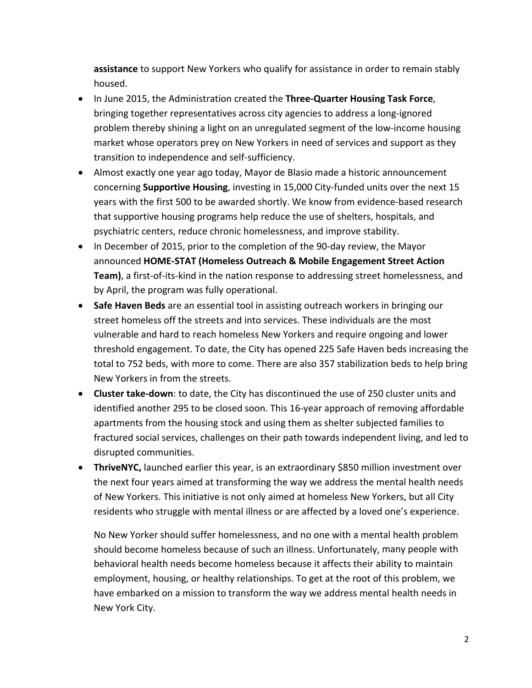**assistance** to support New Yorkers who qualify for assistance in order to remain stably housed.

- In June 2015, the Administration created the **Three‐Quarter Housing Task Force**, bringing together representatives across city agencies to address a long‐ignored problem thereby shining a light on an unregulated segment of the low‐income housing market whose operators prey on New Yorkers in need of services and support as they transition to independence and self‐sufficiency.
- Almost exactly one year ago today, Mayor de Blasio made a historic announcement concerning **Supportive Housing**, investing in 15,000 City‐funded units over the next 15 years with the first 500 to be awarded shortly. We know from evidence‐based research that supportive housing programs help reduce the use of shelters, hospitals, and psychiatric centers, reduce chronic homelessness, and improve stability.
- In December of 2015, prior to the completion of the 90-day review, the Mayor announced **HOME‐STAT (Homeless Outreach & Mobile Engagement Street Action Team)**, a first-of-its-kind in the nation response to addressing street homelessness, and by April, the program was fully operational.
- **Safe Haven Beds** are an essential tool in assisting outreach workers in bringing our street homeless off the streets and into services. These individuals are the most vulnerable and hard to reach homeless New Yorkers and require ongoing and lower threshold engagement. To date, the City has opened 225 Safe Haven beds increasing the total to 752 beds, with more to come. There are also 357 stabilization beds to help bring New Yorkers in from the streets.
- **Cluster take‐down**: to date, the City has discontinued the use of 250 cluster units and identified another 295 to be closed soon. This 16‐year approach of removing affordable apartments from the housing stock and using them as shelter subjected families to fractured social services, challenges on their path towards independent living, and led to disrupted communities.
- **ThriveNYC,** launched earlier this year, is an extraordinary \$850 million investment over the next four years aimed at transforming the way we address the mental health needs of New Yorkers. This initiative is not only aimed at homeless New Yorkers, but all City residents who struggle with mental illness or are affected by a loved one's experience.

No New Yorker should suffer homelessness, and no one with a mental health problem should become homeless because of such an illness. Unfortunately, many people with behavioral health needs become homeless because it affects their ability to maintain employment, housing, or healthy relationships. To get at the root of this problem, we have embarked on a mission to transform the way we address mental health needs in New York City.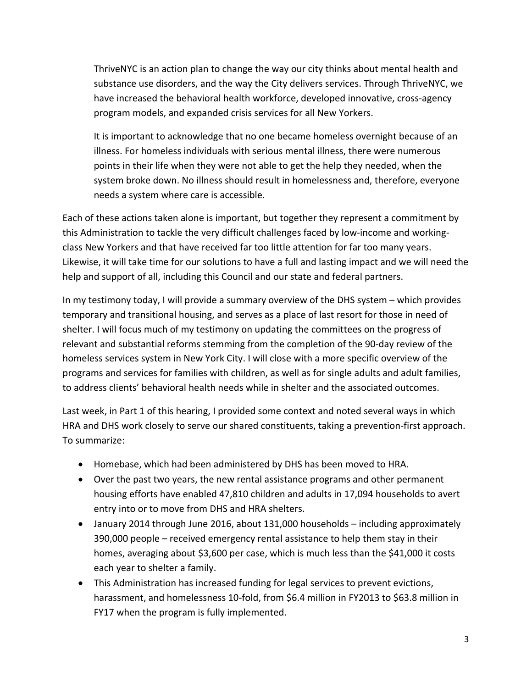ThriveNYC is an action plan to change the way our city thinks about mental health and substance use disorders, and the way the City delivers services. Through ThriveNYC, we have increased the behavioral health workforce, developed innovative, cross-agency program models, and expanded crisis services for all New Yorkers.

It is important to acknowledge that no one became homeless overnight because of an illness. For homeless individuals with serious mental illness, there were numerous points in their life when they were not able to get the help they needed, when the system broke down. No illness should result in homelessness and, therefore, everyone needs a system where care is accessible.

Each of these actions taken alone is important, but together they represent a commitment by this Administration to tackle the very difficult challenges faced by low-income and workingclass New Yorkers and that have received far too little attention for far too many years. Likewise, it will take time for our solutions to have a full and lasting impact and we will need the help and support of all, including this Council and our state and federal partners.

In my testimony today, I will provide a summary overview of the DHS system – which provides temporary and transitional housing, and serves as a place of last resort for those in need of shelter. I will focus much of my testimony on updating the committees on the progress of relevant and substantial reforms stemming from the completion of the 90‐day review of the homeless services system in New York City. I will close with a more specific overview of the programs and services for families with children, as well as for single adults and adult families, to address clients' behavioral health needs while in shelter and the associated outcomes.

Last week, in Part 1 of this hearing, I provided some context and noted several ways in which HRA and DHS work closely to serve our shared constituents, taking a prevention‐first approach. To summarize:

- Homebase, which had been administered by DHS has been moved to HRA.
- Over the past two years, the new rental assistance programs and other permanent housing efforts have enabled 47,810 children and adults in 17,094 households to avert entry into or to move from DHS and HRA shelters.
- January 2014 through June 2016, about 131,000 households including approximately 390,000 people – received emergency rental assistance to help them stay in their homes, averaging about \$3,600 per case, which is much less than the \$41,000 it costs each year to shelter a family.
- This Administration has increased funding for legal services to prevent evictions, harassment, and homelessness 10-fold, from \$6.4 million in FY2013 to \$63.8 million in FY17 when the program is fully implemented.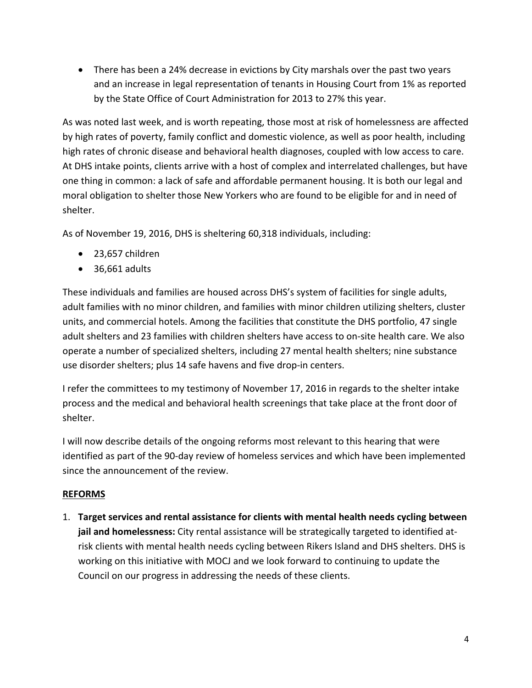There has been a 24% decrease in evictions by City marshals over the past two years and an increase in legal representation of tenants in Housing Court from 1% as reported by the State Office of Court Administration for 2013 to 27% this year.

As was noted last week, and is worth repeating, those most at risk of homelessness are affected by high rates of poverty, family conflict and domestic violence, as well as poor health, including high rates of chronic disease and behavioral health diagnoses, coupled with low access to care. At DHS intake points, clients arrive with a host of complex and interrelated challenges, but have one thing in common: a lack of safe and affordable permanent housing. It is both our legal and moral obligation to shelter those New Yorkers who are found to be eligible for and in need of shelter.

As of November 19, 2016, DHS is sheltering 60,318 individuals, including:

- 23,657 children
- $\bullet$  36,661 adults

These individuals and families are housed across DHS's system of facilities for single adults, adult families with no minor children, and families with minor children utilizing shelters, cluster units, and commercial hotels. Among the facilities that constitute the DHS portfolio, 47 single adult shelters and 23 families with children shelters have access to on‐site health care. We also operate a number of specialized shelters, including 27 mental health shelters; nine substance use disorder shelters; plus 14 safe havens and five drop‐in centers.

I refer the committees to my testimony of November 17, 2016 in regards to the shelter intake process and the medical and behavioral health screenings that take place at the front door of shelter.

I will now describe details of the ongoing reforms most relevant to this hearing that were identified as part of the 90‐day review of homeless services and which have been implemented since the announcement of the review.

# **REFORMS**

1. **Target services and rental assistance for clients with mental health needs cycling between jail and homelessness:** City rental assistance will be strategically targeted to identified at‐ risk clients with mental health needs cycling between Rikers Island and DHS shelters. DHS is working on this initiative with MOCJ and we look forward to continuing to update the Council on our progress in addressing the needs of these clients.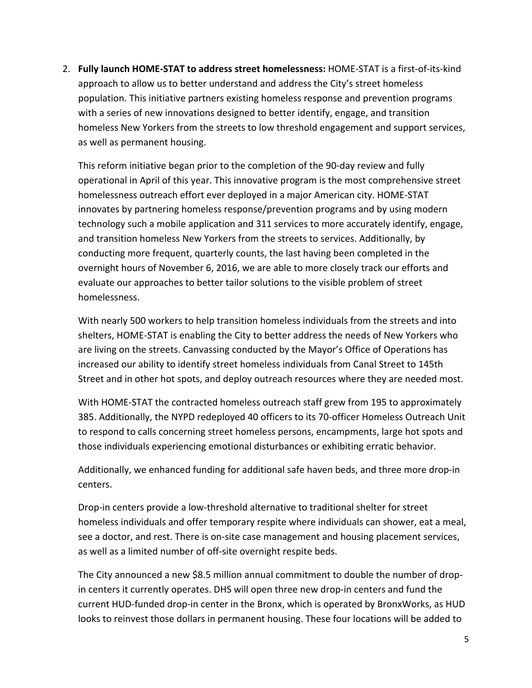2. **Fully launch HOME‐STAT to address street homelessness:** HOME‐STAT is a first‐of‐its‐kind approach to allow us to better understand and address the City's street homeless population. This initiative partners existing homeless response and prevention programs with a series of new innovations designed to better identify, engage, and transition homeless New Yorkers from the streets to low threshold engagement and support services, as well as permanent housing.

This reform initiative began prior to the completion of the 90‐day review and fully operational in April of this year. This innovative program is the most comprehensive street homelessness outreach effort ever deployed in a major American city. HOME‐STAT innovates by partnering homeless response/prevention programs and by using modern technology such a mobile application and 311 services to more accurately identify, engage, and transition homeless New Yorkers from the streets to services. Additionally, by conducting more frequent, quarterly counts, the last having been completed in the overnight hours of November 6, 2016, we are able to more closely track our efforts and evaluate our approaches to better tailor solutions to the visible problem of street homelessness.

With nearly 500 workers to help transition homeless individuals from the streets and into shelters, HOME‐STAT is enabling the City to better address the needs of New Yorkers who are living on the streets. Canvassing conducted by the Mayor's Office of Operations has increased our ability to identify street homeless individuals from Canal Street to 145th Street and in other hot spots, and deploy outreach resources where they are needed most.

With HOME‐STAT the contracted homeless outreach staff grew from 195 to approximately 385. Additionally, the NYPD redeployed 40 officers to its 70‐officer Homeless Outreach Unit to respond to calls concerning street homeless persons, encampments, large hot spots and those individuals experiencing emotional disturbances or exhibiting erratic behavior.

Additionally, we enhanced funding for additional safe haven beds, and three more drop‐in centers.

Drop‐in centers provide a low‐threshold alternative to traditional shelter for street homeless individuals and offer temporary respite where individuals can shower, eat a meal, see a doctor, and rest. There is on‐site case management and housing placement services, as well as a limited number of off‐site overnight respite beds.

The City announced a new \$8.5 million annual commitment to double the number of drop‐ in centers it currently operates. DHS will open three new drop‐in centers and fund the current HUD‐funded drop‐in center in the Bronx, which is operated by BronxWorks, as HUD looks to reinvest those dollars in permanent housing. These four locations will be added to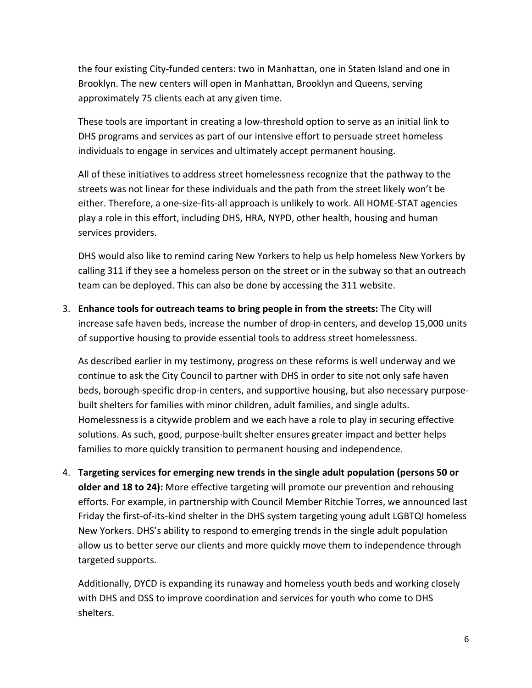the four existing City‐funded centers: two in Manhattan, one in Staten Island and one in Brooklyn. The new centers will open in Manhattan, Brooklyn and Queens, serving approximately 75 clients each at any given time.

These tools are important in creating a low‐threshold option to serve as an initial link to DHS programs and services as part of our intensive effort to persuade street homeless individuals to engage in services and ultimately accept permanent housing.

All of these initiatives to address street homelessness recognize that the pathway to the streets was not linear for these individuals and the path from the street likely won't be either. Therefore, a one‐size‐fits‐all approach is unlikely to work. All HOME‐STAT agencies play a role in this effort, including DHS, HRA, NYPD, other health, housing and human services providers.

DHS would also like to remind caring New Yorkers to help us help homeless New Yorkers by calling 311 if they see a homeless person on the street or in the subway so that an outreach team can be deployed. This can also be done by accessing the 311 website.

3. **Enhance tools for outreach teams to bring people in from the streets:** The City will increase safe haven beds, increase the number of drop‐in centers, and develop 15,000 units of supportive housing to provide essential tools to address street homelessness.

As described earlier in my testimony, progress on these reforms is well underway and we continue to ask the City Council to partner with DHS in order to site not only safe haven beds, borough-specific drop-in centers, and supportive housing, but also necessary purposebuilt shelters for families with minor children, adult families, and single adults. Homelessness is a citywide problem and we each have a role to play in securing effective solutions. As such, good, purpose‐built shelter ensures greater impact and better helps families to more quickly transition to permanent housing and independence.

4. **Targeting services for emerging new trends in the single adult population (persons 50 or older and 18 to 24):** More effective targeting will promote our prevention and rehousing efforts. For example, in partnership with Council Member Ritchie Torres, we announced last Friday the first‐of‐its‐kind shelter in the DHS system targeting young adult LGBTQI homeless New Yorkers. DHS's ability to respond to emerging trends in the single adult population allow us to better serve our clients and more quickly move them to independence through targeted supports.

Additionally, DYCD is expanding its runaway and homeless youth beds and working closely with DHS and DSS to improve coordination and services for youth who come to DHS shelters.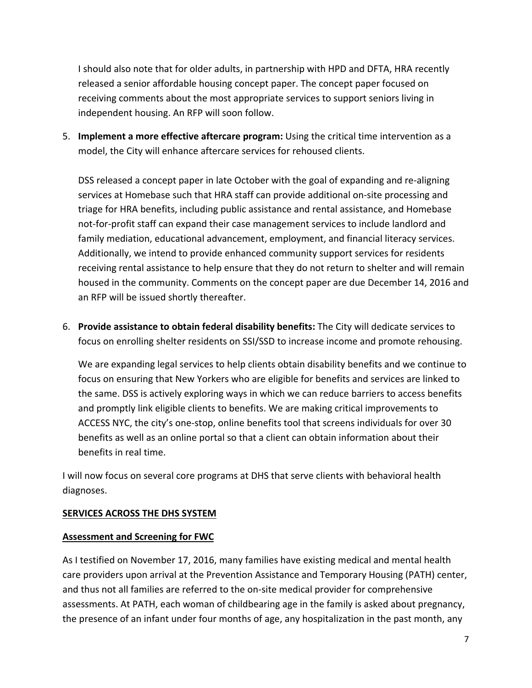I should also note that for older adults, in partnership with HPD and DFTA, HRA recently released a senior affordable housing concept paper. The concept paper focused on receiving comments about the most appropriate services to support seniors living in independent housing. An RFP will soon follow.

5. **Implement a more effective aftercare program:** Using the critical time intervention as a model, the City will enhance aftercare services for rehoused clients.

DSS released a concept paper in late October with the goal of expanding and re‐aligning services at Homebase such that HRA staff can provide additional on‐site processing and triage for HRA benefits, including public assistance and rental assistance, and Homebase not‐for‐profit staff can expand their case management services to include landlord and family mediation, educational advancement, employment, and financial literacy services. Additionally, we intend to provide enhanced community support services for residents receiving rental assistance to help ensure that they do not return to shelter and will remain housed in the community. Comments on the concept paper are due December 14, 2016 and an RFP will be issued shortly thereafter.

6. **Provide assistance to obtain federal disability benefits:** The City will dedicate services to focus on enrolling shelter residents on SSI/SSD to increase income and promote rehousing.

We are expanding legal services to help clients obtain disability benefits and we continue to focus on ensuring that New Yorkers who are eligible for benefits and services are linked to the same. DSS is actively exploring ways in which we can reduce barriers to access benefits and promptly link eligible clients to benefits. We are making critical improvements to ACCESS NYC, the city's one‐stop, online benefits tool that screens individuals for over 30 benefits as well as an online portal so that a client can obtain information about their benefits in real time.

I will now focus on several core programs at DHS that serve clients with behavioral health diagnoses.

## **SERVICES ACROSS THE DHS SYSTEM**

#### **Assessment and Screening for FWC**

As I testified on November 17, 2016, many families have existing medical and mental health care providers upon arrival at the Prevention Assistance and Temporary Housing (PATH) center, and thus not all families are referred to the on‐site medical provider for comprehensive assessments. At PATH, each woman of childbearing age in the family is asked about pregnancy, the presence of an infant under four months of age, any hospitalization in the past month, any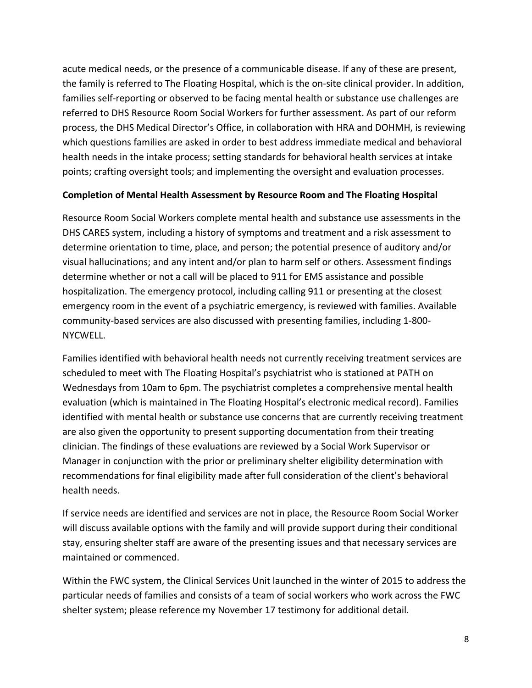acute medical needs, or the presence of a communicable disease. If any of these are present, the family is referred to The Floating Hospital, which is the on‐site clinical provider. In addition, families self‐reporting or observed to be facing mental health or substance use challenges are referred to DHS Resource Room Social Workers for further assessment. As part of our reform process, the DHS Medical Director's Office, in collaboration with HRA and DOHMH, is reviewing which questions families are asked in order to best address immediate medical and behavioral health needs in the intake process; setting standards for behavioral health services at intake points; crafting oversight tools; and implementing the oversight and evaluation processes.

#### **Completion of Mental Health Assessment by Resource Room and The Floating Hospital**

Resource Room Social Workers complete mental health and substance use assessments in the DHS CARES system, including a history of symptoms and treatment and a risk assessment to determine orientation to time, place, and person; the potential presence of auditory and/or visual hallucinations; and any intent and/or plan to harm self or others. Assessment findings determine whether or not a call will be placed to 911 for EMS assistance and possible hospitalization. The emergency protocol, including calling 911 or presenting at the closest emergency room in the event of a psychiatric emergency, is reviewed with families. Available community‐based services are also discussed with presenting families, including 1‐800‐ NYCWELL.

Families identified with behavioral health needs not currently receiving treatment services are scheduled to meet with The Floating Hospital's psychiatrist who is stationed at PATH on Wednesdays from 10am to 6pm. The psychiatrist completes a comprehensive mental health evaluation (which is maintained in The Floating Hospital's electronic medical record). Families identified with mental health or substance use concerns that are currently receiving treatment are also given the opportunity to present supporting documentation from their treating clinician. The findings of these evaluations are reviewed by a Social Work Supervisor or Manager in conjunction with the prior or preliminary shelter eligibility determination with recommendations for final eligibility made after full consideration of the client's behavioral health needs.

If service needs are identified and services are not in place, the Resource Room Social Worker will discuss available options with the family and will provide support during their conditional stay, ensuring shelter staff are aware of the presenting issues and that necessary services are maintained or commenced.

Within the FWC system, the Clinical Services Unit launched in the winter of 2015 to address the particular needs of families and consists of a team of social workers who work across the FWC shelter system; please reference my November 17 testimony for additional detail.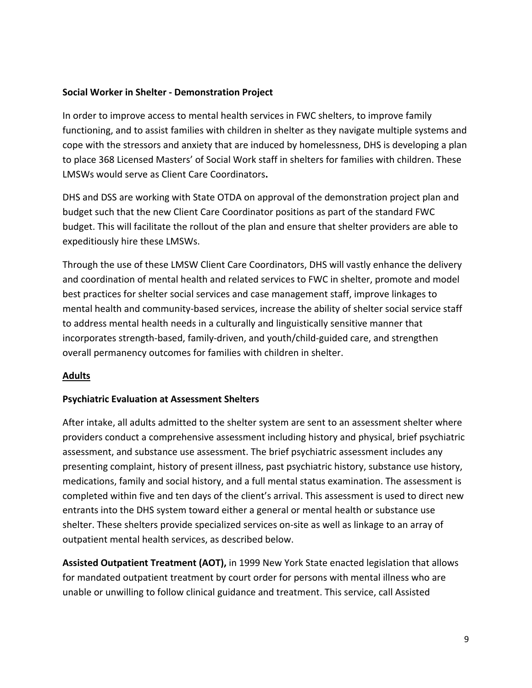### **Social Worker in Shelter ‐ Demonstration Project**

In order to improve access to mental health services in FWC shelters, to improve family functioning, and to assist families with children in shelter as they navigate multiple systems and cope with the stressors and anxiety that are induced by homelessness, DHS is developing a plan to place 368 Licensed Masters' of Social Work staff in shelters for families with children. These LMSWs would serve as Client Care Coordinators**.**

DHS and DSS are working with State OTDA on approval of the demonstration project plan and budget such that the new Client Care Coordinator positions as part of the standard FWC budget. This will facilitate the rollout of the plan and ensure that shelter providers are able to expeditiously hire these LMSWs.

Through the use of these LMSW Client Care Coordinators, DHS will vastly enhance the delivery and coordination of mental health and related services to FWC in shelter, promote and model best practices for shelter social services and case management staff, improve linkages to mental health and community‐based services, increase the ability of shelter social service staff to address mental health needs in a culturally and linguistically sensitive manner that incorporates strength‐based, family‐driven, and youth/child‐guided care, and strengthen overall permanency outcomes for families with children in shelter.

## **Adults**

#### **Psychiatric Evaluation at Assessment Shelters**

After intake, all adults admitted to the shelter system are sent to an assessment shelter where providers conduct a comprehensive assessment including history and physical, brief psychiatric assessment, and substance use assessment. The brief psychiatric assessment includes any presenting complaint, history of present illness, past psychiatric history, substance use history, medications, family and social history, and a full mental status examination. The assessment is completed within five and ten days of the client's arrival. This assessment is used to direct new entrants into the DHS system toward either a general or mental health or substance use shelter. These shelters provide specialized services on‐site as well as linkage to an array of outpatient mental health services, as described below.

**Assisted Outpatient Treatment (AOT),** in 1999 New York State enacted legislation that allows for mandated outpatient treatment by court order for persons with mental illness who are unable or unwilling to follow clinical guidance and treatment. This service, call Assisted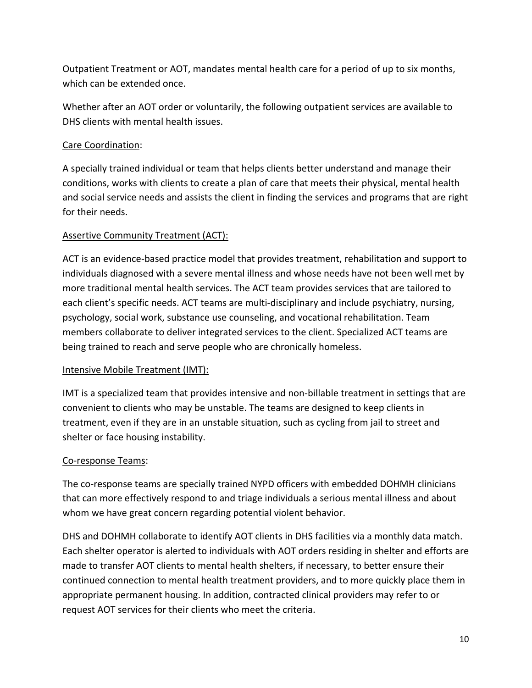Outpatient Treatment or AOT, mandates mental health care for a period of up to six months, which can be extended once.

Whether after an AOT order or voluntarily, the following outpatient services are available to DHS clients with mental health issues.

# Care Coordination:

A specially trained individual or team that helps clients better understand and manage their conditions, works with clients to create a plan of care that meets their physical, mental health and social service needs and assists the client in finding the services and programs that are right for their needs.

# Assertive Community Treatment (ACT):

ACT is an evidence‐based practice model that provides treatment, rehabilitation and support to individuals diagnosed with a severe mental illness and whose needs have not been well met by more traditional mental health services. The ACT team provides services that are tailored to each client's specific needs. ACT teams are multi-disciplinary and include psychiatry, nursing, psychology, social work, substance use counseling, and vocational rehabilitation. Team members collaborate to deliver integrated services to the client. Specialized ACT teams are being trained to reach and serve people who are chronically homeless.

## Intensive Mobile Treatment (IMT):

IMT is a specialized team that provides intensive and non‐billable treatment in settings that are convenient to clients who may be unstable. The teams are designed to keep clients in treatment, even if they are in an unstable situation, such as cycling from jail to street and shelter or face housing instability.

## Co‐response Teams:

The co-response teams are specially trained NYPD officers with embedded DOHMH clinicians that can more effectively respond to and triage individuals a serious mental illness and about whom we have great concern regarding potential violent behavior.

DHS and DOHMH collaborate to identify AOT clients in DHS facilities via a monthly data match. Each shelter operator is alerted to individuals with AOT orders residing in shelter and efforts are made to transfer AOT clients to mental health shelters, if necessary, to better ensure their continued connection to mental health treatment providers, and to more quickly place them in appropriate permanent housing. In addition, contracted clinical providers may refer to or request AOT services for their clients who meet the criteria.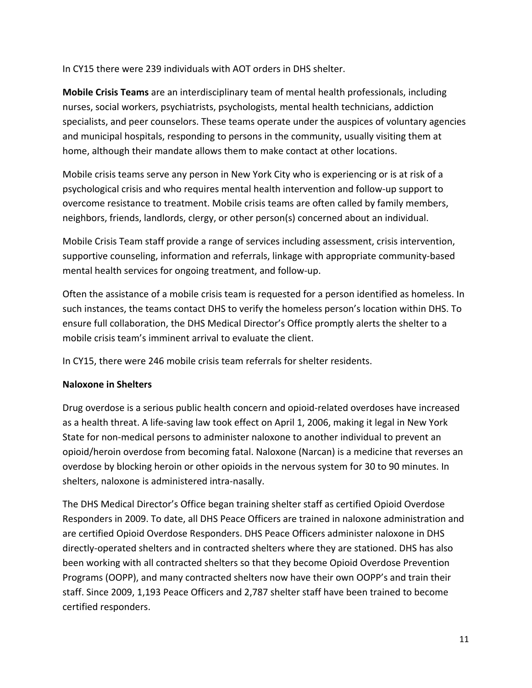In CY15 there were 239 individuals with AOT orders in DHS shelter.

**Mobile Crisis Teams** are an interdisciplinary team of mental health professionals, including nurses, social workers, psychiatrists, psychologists, mental health technicians, addiction specialists, and peer counselors. These teams operate under the auspices of voluntary agencies and municipal hospitals, responding to persons in the community, usually visiting them at home, although their mandate allows them to make contact at other locations.

Mobile crisis teams serve any person in New York City who is experiencing or is at risk of a psychological crisis and who requires mental health intervention and follow‐up support to overcome resistance to treatment. Mobile crisis teams are often called by family members, neighbors, friends, landlords, clergy, or other person(s) concerned about an individual.

Mobile Crisis Team staff provide a range of services including assessment, crisis intervention, supportive counseling, information and referrals, linkage with appropriate community‐based mental health services for ongoing treatment, and follow‐up.

Often the assistance of a mobile crisis team is requested for a person identified as homeless. In such instances, the teams contact DHS to verify the homeless person's location within DHS. To ensure full collaboration, the DHS Medical Director's Office promptly alerts the shelter to a mobile crisis team's imminent arrival to evaluate the client.

In CY15, there were 246 mobile crisis team referrals for shelter residents.

# **Naloxone in Shelters**

Drug overdose is a serious public health concern and opioid‐related overdoses have increased as a health threat. A life‐saving law took effect on April 1, 2006, making it legal in New York State for non‐medical persons to administer naloxone to another individual to prevent an opioid/heroin overdose from becoming fatal. Naloxone (Narcan) is a medicine that reverses an overdose by blocking heroin or other opioids in the nervous system for 30 to 90 minutes. In shelters, naloxone is administered intra‐nasally.

The DHS Medical Director's Office began training shelter staff as certified Opioid Overdose Responders in 2009. To date, all DHS Peace Officers are trained in naloxone administration and are certified Opioid Overdose Responders. DHS Peace Officers administer naloxone in DHS directly‐operated shelters and in contracted shelters where they are stationed. DHS has also been working with all contracted shelters so that they become Opioid Overdose Prevention Programs (OOPP), and many contracted shelters now have their own OOPP's and train their staff. Since 2009, 1,193 Peace Officers and 2,787 shelter staff have been trained to become certified responders.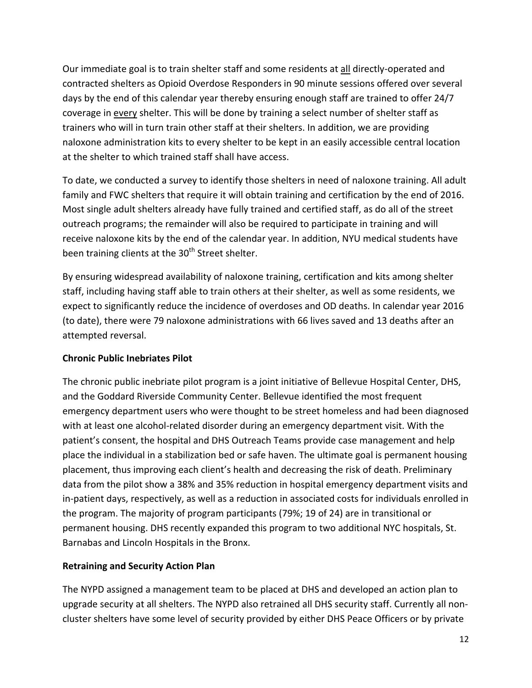Our immediate goal is to train shelter staff and some residents at all directly-operated and contracted shelters as Opioid Overdose Responders in 90 minute sessions offered over several days by the end of this calendar year thereby ensuring enough staff are trained to offer 24/7 coverage in every shelter. This will be done by training a select number of shelter staff as trainers who will in turn train other staff at their shelters. In addition, we are providing naloxone administration kits to every shelter to be kept in an easily accessible central location at the shelter to which trained staff shall have access.

To date, we conducted a survey to identify those shelters in need of naloxone training. All adult family and FWC shelters that require it will obtain training and certification by the end of 2016. Most single adult shelters already have fully trained and certified staff, as do all of the street outreach programs; the remainder will also be required to participate in training and will receive naloxone kits by the end of the calendar year. In addition, NYU medical students have been training clients at the 30<sup>th</sup> Street shelter.

By ensuring widespread availability of naloxone training, certification and kits among shelter staff, including having staff able to train others at their shelter, as well as some residents, we expect to significantly reduce the incidence of overdoses and OD deaths. In calendar year 2016 (to date), there were 79 naloxone administrations with 66 lives saved and 13 deaths after an attempted reversal.

# **Chronic Public Inebriates Pilot**

The chronic public inebriate pilot program is a joint initiative of Bellevue Hospital Center, DHS, and the Goddard Riverside Community Center. Bellevue identified the most frequent emergency department users who were thought to be street homeless and had been diagnosed with at least one alcohol-related disorder during an emergency department visit. With the patient's consent, the hospital and DHS Outreach Teams provide case management and help place the individual in a stabilization bed or safe haven. The ultimate goal is permanent housing placement, thus improving each client's health and decreasing the risk of death. Preliminary data from the pilot show a 38% and 35% reduction in hospital emergency department visits and in-patient days, respectively, as well as a reduction in associated costs for individuals enrolled in the program. The majority of program participants (79%; 19 of 24) are in transitional or permanent housing. DHS recently expanded this program to two additional NYC hospitals, St. Barnabas and Lincoln Hospitals in the Bronx.

# **Retraining and Security Action Plan**

The NYPD assigned a management team to be placed at DHS and developed an action plan to upgrade security at all shelters. The NYPD also retrained all DHS security staff. Currently all non‐ cluster shelters have some level of security provided by either DHS Peace Officers or by private